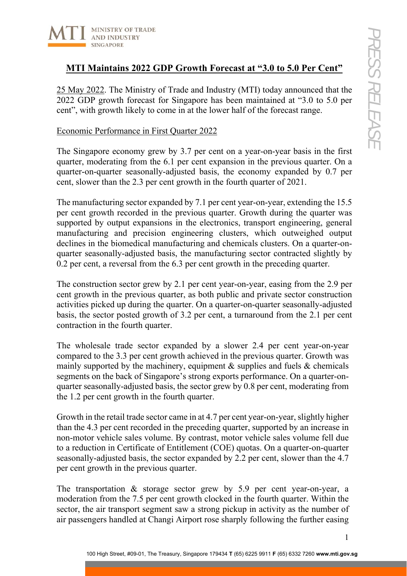

## **MTI Maintains 2022 GDP Growth Forecast at "3.0 to 5.0 Per Cent"**

25 May 2022. The Ministry of Trade and Industry (MTI) today announced that the 2022 GDP growth forecast for Singapore has been maintained at "3.0 to 5.0 per cent", with growth likely to come in at the lower half of the forecast range.

### Economic Performance in First Quarter 2022

The Singapore economy grew by 3.7 per cent on a year-on-year basis in the first quarter, moderating from the 6.1 per cent expansion in the previous quarter. On a quarter-on-quarter seasonally-adjusted basis, the economy expanded by 0.7 per cent, slower than the 2.3 per cent growth in the fourth quarter of 2021.

The manufacturing sector expanded by 7.1 per cent year-on-year, extending the 15.5 per cent growth recorded in the previous quarter. Growth during the quarter was supported by output expansions in the electronics, transport engineering, general manufacturing and precision engineering clusters, which outweighed output declines in the biomedical manufacturing and chemicals clusters. On a quarter-onquarter seasonally-adjusted basis, the manufacturing sector contracted slightly by 0.2 per cent, a reversal from the 6.3 per cent growth in the preceding quarter.

The construction sector grew by 2.1 per cent year-on-year, easing from the 2.9 per cent growth in the previous quarter, as both public and private sector construction activities picked up during the quarter. On a quarter-on-quarter seasonally-adjusted basis, the sector posted growth of 3.2 per cent, a turnaround from the 2.1 per cent contraction in the fourth quarter.

The wholesale trade sector expanded by a slower 2.4 per cent year-on-year compared to the 3.3 per cent growth achieved in the previous quarter. Growth was mainly supported by the machinery, equipment  $\&$  supplies and fuels  $\&$  chemicals segments on the back of Singapore's strong exports performance. On a quarter-onquarter seasonally-adjusted basis, the sector grew by 0.8 per cent, moderating from the 1.2 per cent growth in the fourth quarter.

Growth in the retail trade sector came in at 4.7 per cent year-on-year, slightly higher than the 4.3 per cent recorded in the preceding quarter, supported by an increase in non-motor vehicle sales volume. By contrast, motor vehicle sales volume fell due to a reduction in Certificate of Entitlement (COE) quotas. On a quarter-on-quarter seasonally-adjusted basis, the sector expanded by 2.2 per cent, slower than the 4.7 per cent growth in the previous quarter.

The transportation & storage sector grew by 5.9 per cent year-on-year, a moderation from the 7.5 per cent growth clocked in the fourth quarter. Within the sector, the air transport segment saw a strong pickup in activity as the number of air passengers handled at Changi Airport rose sharply following the further easing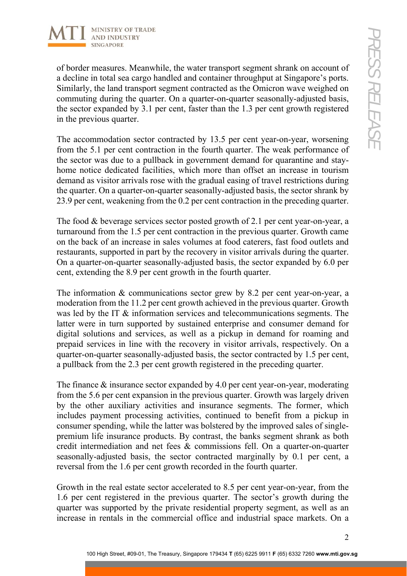

of border measures. Meanwhile, the water transport segment shrank on account of a decline in total sea cargo handled and container throughput at Singapore's ports. Similarly, the land transport segment contracted as the Omicron wave weighed on commuting during the quarter. On a quarter-on-quarter seasonally-adjusted basis, the sector expanded by 3.1 per cent, faster than the 1.3 per cent growth registered in the previous quarter.

The accommodation sector contracted by 13.5 per cent year-on-year, worsening from the 5.1 per cent contraction in the fourth quarter. The weak performance of the sector was due to a pullback in government demand for quarantine and stayhome notice dedicated facilities, which more than offset an increase in tourism demand as visitor arrivals rose with the gradual easing of travel restrictions during the quarter. On a quarter-on-quarter seasonally-adjusted basis, the sector shrank by 23.9 per cent, weakening from the 0.2 per cent contraction in the preceding quarter.

The food & beverage services sector posted growth of 2.1 per cent year-on-year, a turnaround from the 1.5 per cent contraction in the previous quarter. Growth came on the back of an increase in sales volumes at food caterers, fast food outlets and restaurants, supported in part by the recovery in visitor arrivals during the quarter. On a quarter-on-quarter seasonally-adjusted basis, the sector expanded by 6.0 per cent, extending the 8.9 per cent growth in the fourth quarter.

The information & communications sector grew by 8.2 per cent year-on-year, a moderation from the 11.2 per cent growth achieved in the previous quarter. Growth was led by the IT & information services and telecommunications segments. The latter were in turn supported by sustained enterprise and consumer demand for digital solutions and services, as well as a pickup in demand for roaming and prepaid services in line with the recovery in visitor arrivals, respectively. On a quarter-on-quarter seasonally-adjusted basis, the sector contracted by 1.5 per cent, a pullback from the 2.3 per cent growth registered in the preceding quarter.

The finance & insurance sector expanded by 4.0 per cent year-on-year, moderating from the 5.6 per cent expansion in the previous quarter. Growth was largely driven by the other auxiliary activities and insurance segments. The former, which includes payment processing activities, continued to benefit from a pickup in consumer spending, while the latter was bolstered by the improved sales of singlepremium life insurance products. By contrast, the banks segment shrank as both credit intermediation and net fees & commissions fell. On a quarter-on-quarter seasonally-adjusted basis, the sector contracted marginally by 0.1 per cent, a reversal from the 1.6 per cent growth recorded in the fourth quarter.

Growth in the real estate sector accelerated to 8.5 per cent year-on-year, from the 1.6 per cent registered in the previous quarter. The sector's growth during the quarter was supported by the private residential property segment, as well as an increase in rentals in the commercial office and industrial space markets. On a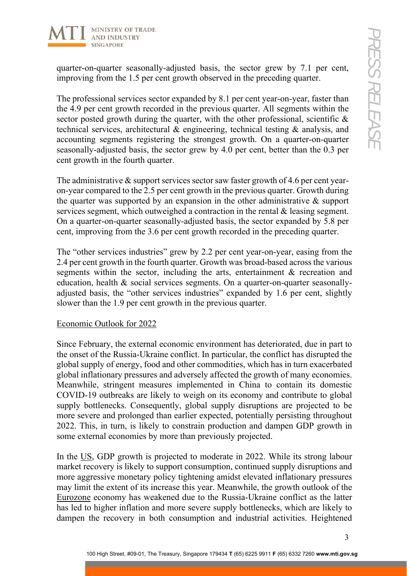

quarter-on-quarter seasonally-adjusted basis, the sector grew by 7.1 per cent, improving from the 1.5 per cent growth observed in the preceding quarter.

The professional services sector expanded by 8.1 per cent year-on-year, faster than the 4.9 per cent growth recorded in the previous quarter. All segments within the sector posted growth during the quarter, with the other professional, scientific & technical services, architectural & engineering, technical testing & analysis, and accounting segments registering the strongest growth. On a quarter-on-quarter seasonally-adjusted basis, the sector grew by 4.0 per cent, better than the 0.3 per cent growth in the fourth quarter.

The administrative & support services sector saw faster growth of 4.6 per cent yearon-year compared to the 2.5 per cent growth in the previous quarter. Growth during the quarter was supported by an expansion in the other administrative  $\&$  support services segment, which outweighed a contraction in the rental & leasing segment. On a quarter-on-quarter seasonally-adjusted basis, the sector expanded by 5.8 per cent, improving from the 3.6 per cent growth recorded in the preceding quarter.

The "other services industries" grew by 2.2 per cent year-on-year, easing from the 2.4 per cent growth in the fourth quarter. Growth was broad-based across the various segments within the sector, including the arts, entertainment & recreation and education, health & social services segments. On a quarter-on-quarter seasonallyadjusted basis, the "other services industries" expanded by 1.6 per cent, slightly slower than the 1.9 per cent growth in the previous quarter.

### Economic Outlook for 2022

Since February, the external economic environment has deteriorated, due in part to the onset of the Russia-Ukraine conflict. In particular, the conflict has disrupted the global supply of energy, food and other commodities, which has in turn exacerbated global inflationary pressures and adversely affected the growth of many economies. Meanwhile, stringent measures implemented in China to contain its domestic COVID-19 outbreaks are likely to weigh on its economy and contribute to global supply bottlenecks. Consequently, global supply disruptions are projected to be more severe and prolonged than earlier expected, potentially persisting throughout 2022. This, in turn, is likely to constrain production and dampen GDP growth in some external economies by more than previously projected.

In the US, GDP growth is projected to moderate in 2022. While its strong labour market recovery is likely to support consumption, continued supply disruptions and more aggressive monetary policy tightening amidst elevated inflationary pressures may limit the extent of its increase this year. Meanwhile, the growth outlook of the Eurozone economy has weakened due to the Russia-Ukraine conflict as the latter has led to higher inflation and more severe supply bottlenecks, which are likely to dampen the recovery in both consumption and industrial activities. Heightened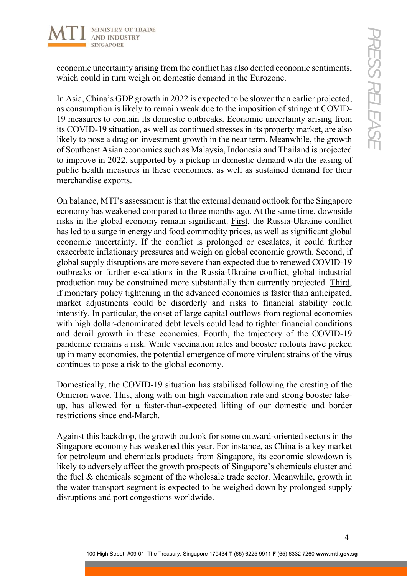

economic uncertainty arising from the conflict has also dented economic sentiments, which could in turn weigh on domestic demand in the Eurozone.

In Asia, China's GDP growth in 2022 is expected to be slower than earlier projected, as consumption is likely to remain weak due to the imposition of stringent COVID-19 measures to contain its domestic outbreaks. Economic uncertainty arising from its COVID-19 situation, as well as continued stresses in its property market, are also likely to pose a drag on investment growth in the near term. Meanwhile, the growth of Southeast Asian economies such as Malaysia, Indonesia and Thailand is projected to improve in 2022, supported by a pickup in domestic demand with the easing of public health measures in these economies, as well as sustained demand for their merchandise exports.

On balance, MTI's assessment is that the external demand outlook for the Singapore economy has weakened compared to three months ago. At the same time, downside risks in the global economy remain significant. First, the Russia-Ukraine conflict has led to a surge in energy and food commodity prices, as well as significant global economic uncertainty. If the conflict is prolonged or escalates, it could further exacerbate inflationary pressures and weigh on global economic growth. Second, if global supply disruptions are more severe than expected due to renewed COVID-19 outbreaks or further escalations in the Russia-Ukraine conflict, global industrial production may be constrained more substantially than currently projected. Third, if monetary policy tightening in the advanced economies is faster than anticipated, market adjustments could be disorderly and risks to financial stability could intensify. In particular, the onset of large capital outflows from regional economies with high dollar-denominated debt levels could lead to tighter financial conditions and derail growth in these economies. Fourth, the trajectory of the COVID‐19 pandemic remains a risk. While vaccination rates and booster rollouts have picked up in many economies, the potential emergence of more virulent strains of the virus continues to pose a risk to the global economy.

Domestically, the COVID-19 situation has stabilised following the cresting of the Omicron wave. This, along with our high vaccination rate and strong booster takeup, has allowed for a faster-than-expected lifting of our domestic and border restrictions since end-March.

Against this backdrop, the growth outlook for some outward-oriented sectors in the Singapore economy has weakened this year. For instance, as China is a key market for petroleum and chemicals products from Singapore, its economic slowdown is likely to adversely affect the growth prospects of Singapore's chemicals cluster and the fuel & chemicals segment of the wholesale trade sector. Meanwhile, growth in the water transport segment is expected to be weighed down by prolonged supply disruptions and port congestions worldwide.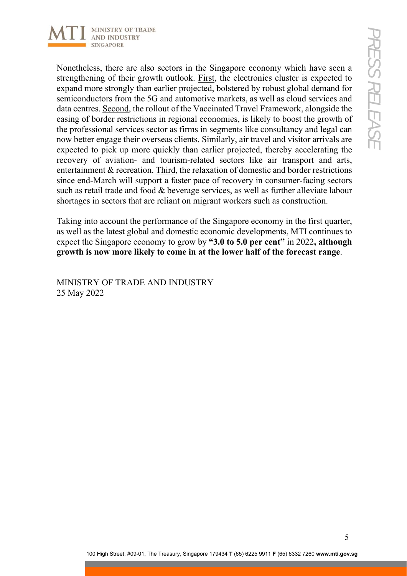

Nonetheless, there are also sectors in the Singapore economy which have seen a strengthening of their growth outlook. First, the electronics cluster is expected to expand more strongly than earlier projected, bolstered by robust global demand for semiconductors from the 5G and automotive markets, as well as cloud services and data centres. Second, the rollout of the Vaccinated Travel Framework, alongside the easing of border restrictions in regional economies, is likely to boost the growth of the professional services sector as firms in segments like consultancy and legal can now better engage their overseas clients. Similarly, air travel and visitor arrivals are expected to pick up more quickly than earlier projected, thereby accelerating the recovery of aviation- and tourism-related sectors like air transport and arts, entertainment & recreation. Third, the relaxation of domestic and border restrictions since end-March will support a faster pace of recovery in consumer-facing sectors such as retail trade and food & beverage services, as well as further alleviate labour shortages in sectors that are reliant on migrant workers such as construction.

Taking into account the performance of the Singapore economy in the first quarter, as well as the latest global and domestic economic developments, MTI continues to expect the Singapore economy to grow by **"3.0 to 5.0 per cent"** in 2022**, although growth is now more likely to come in at the lower half of the forecast range**.

MINISTRY OF TRADE AND INDUSTRY 25 May 2022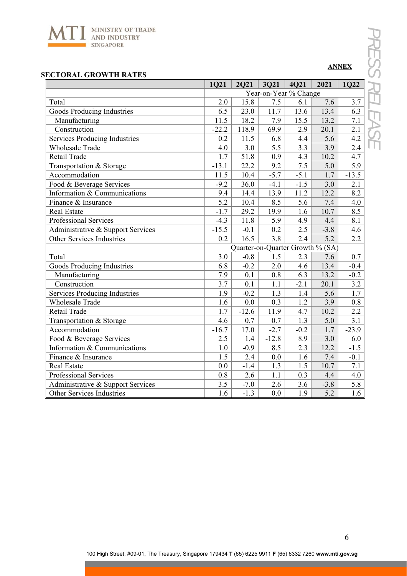

# **ANNEX**

| <b>SECTORAL GROWTH RATES</b>         |         |                                  |                       |        |        |         |  |  |  |
|--------------------------------------|---------|----------------------------------|-----------------------|--------|--------|---------|--|--|--|
|                                      | 1Q21    | <b>2Q21</b>                      | <b>3Q21</b>           | 4Q21   | 2021   | 1Q22    |  |  |  |
|                                      |         |                                  | Year-on-Year % Change |        |        |         |  |  |  |
| Total                                | 2.0     | 15.8                             | 7.5                   | 6.1    | 7.6    | 3.7     |  |  |  |
| Goods Producing Industries           | 6.5     | 23.0                             | 11.7                  | 13.6   | 13.4   | 6.3     |  |  |  |
| Manufacturing                        | 11.5    | 18.2                             | 7.9                   | 15.5   | 13.2   | 7.1     |  |  |  |
| Construction                         | $-22.2$ | 118.9                            | 69.9                  | 2.9    | 20.1   | 2.1     |  |  |  |
| <b>Services Producing Industries</b> | 0.2     | 11.5                             | 6.8                   | 4.4    | 5.6    | 4.2     |  |  |  |
| <b>Wholesale Trade</b>               | 4.0     | 3.0                              | 5.5                   | 3.3    | 3.9    | 2.4     |  |  |  |
| Retail Trade                         | 1.7     | 51.8                             | 0.9                   | 4.3    | 10.2   | 4.7     |  |  |  |
| Transportation & Storage             | $-13.1$ | 22.2                             | 9.2                   | 7.5    | 5.0    | 5.9     |  |  |  |
| Accommodation                        | 11.5    | 10.4                             | $-5.7$                | $-5.1$ | 1.7    | $-13.5$ |  |  |  |
| Food & Beverage Services             | $-9.2$  | 36.0                             | $-4.1$                | $-1.5$ | 3.0    | 2.1     |  |  |  |
| Information & Communications         | 9.4     | 14.4                             | 13.9                  | 11.2   | 12.2   | 8.2     |  |  |  |
| Finance & Insurance                  | 5.2     | 10.4                             | 8.5                   | 5.6    | 7.4    | 4.0     |  |  |  |
| <b>Real Estate</b>                   | $-1.7$  | 29.2                             | 19.9                  | 1.6    | 10.7   | 8.5     |  |  |  |
| Professional Services                | $-4.3$  | 11.8                             | 5.9                   | 4.9    | 4.4    | 8.1     |  |  |  |
| Administrative & Support Services    | $-15.5$ | $-0.1$                           | 0.2                   | 2.5    | $-3.8$ | 4.6     |  |  |  |
| Other Services Industries            | 0.2     | 16.5                             | 3.8                   | 2.4    | 5.2    | 2.2     |  |  |  |
|                                      |         | Quarter-on-Quarter Growth % (SA) |                       |        |        |         |  |  |  |
| Total                                | 3.0     | $-0.8$                           | 1.5                   | 2.3    | 7.6    | 0.7     |  |  |  |
| <b>Goods Producing Industries</b>    | 6.8     | $-0.2$                           | 2.0                   | 4.6    | 13.4   | $-0.4$  |  |  |  |
| Manufacturing                        | 7.9     | 0.1                              | 0.8                   | 6.3    | 13.2   | $-0.2$  |  |  |  |
| Construction                         | 3.7     | 0.1                              | 1.1                   | $-2.1$ | 20.1   | 3.2     |  |  |  |
| <b>Services Producing Industries</b> | 1.9     | $-0.2$                           | 1.3                   | 1.4    | 5.6    | 1.7     |  |  |  |
| <b>Wholesale Trade</b>               | 1.6     | 0.0                              | 0.3                   | 1.2    | 3.9    | 0.8     |  |  |  |
| Retail Trade                         | 1.7     | $-12.6$                          | 11.9                  | 4.7    | 10.2   | 2.2     |  |  |  |
| Transportation & Storage             | 4.6     | 0.7                              | 0.7                   | 1.3    | 5.0    | 3.1     |  |  |  |
| Accommodation                        | $-16.7$ | 17.0                             | $-2.7$                | $-0.2$ | 1.7    | $-23.9$ |  |  |  |
| Food & Beverage Services             | 2.5     | 1.4                              | $-12.8$               | 8.9    | 3.0    | 6.0     |  |  |  |
| Information & Communications         | $1.0\,$ | $-0.9$                           | 8.5                   | 2.3    | 12.2   | $-1.5$  |  |  |  |
| Finance & Insurance                  | 1.5     | 2.4                              | 0.0                   | 1.6    | 7.4    | $-0.1$  |  |  |  |
| <b>Real Estate</b>                   | 0.0     | $-1.4$                           | 1.3                   | 1.5    | 10.7   | 7.1     |  |  |  |
| Professional Services                | 0.8     | 2.6                              | 1.1                   | 0.3    | 4.4    | 4.0     |  |  |  |
| Administrative & Support Services    | 3.5     | $-7.0$                           | 2.6                   | 3.6    | $-3.8$ | 5.8     |  |  |  |
| Other Services Industries            | 1.6     | $-1.3$                           | $0.0\,$               | 1.9    | 5.2    | 1.6     |  |  |  |

<u> 1989 - Johann Stein, marwolaethau (b. 1989)</u>